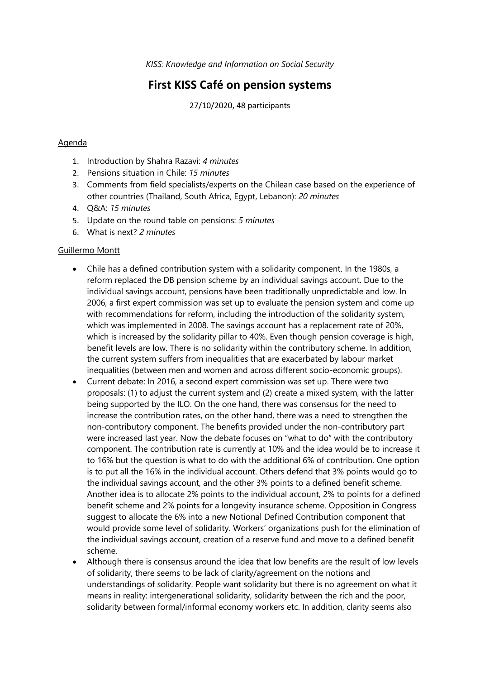*KISS: Knowledge and Information on Social Security*

# **First KISS Café on pension systems**

27/10/2020, 48 participants

## Agenda

- 1. Introduction by Shahra Razavi: *4 minutes*
- 2. Pensions situation in Chile: *15 minutes*
- 3. Comments from field specialists/experts on the Chilean case based on the experience of other countries (Thailand, South Africa, Egypt, Lebanon): *20 minutes*
- 4. Q&A: *15 minutes*
- 5. Update on the round table on pensions: *5 minutes*
- 6. What is next? *2 minutes*

### Guillermo Montt

- Chile has a defined contribution system with a solidarity component. In the 1980s, a reform replaced the DB pension scheme by an individual savings account. Due to the individual savings account, pensions have been traditionally unpredictable and low. In 2006, a first expert commission was set up to evaluate the pension system and come up with recommendations for reform, including the introduction of the solidarity system, which was implemented in 2008. The savings account has a replacement rate of 20%, which is increased by the solidarity pillar to 40%. Even though pension coverage is high, benefit levels are low. There is no solidarity within the contributory scheme. In addition, the current system suffers from inequalities that are exacerbated by labour market inequalities (between men and women and across different socio-economic groups).
- Current debate: In 2016, a second expert commission was set up. There were two proposals: (1) to adjust the current system and (2) create a mixed system, with the latter being supported by the ILO. On the one hand, there was consensus for the need to increase the contribution rates, on the other hand, there was a need to strengthen the non-contributory component. The benefits provided under the non-contributory part were increased last year. Now the debate focuses on "what to do" with the contributory component. The contribution rate is currently at 10% and the idea would be to increase it to 16% but the question is what to do with the additional 6% of contribution. One option is to put all the 16% in the individual account. Others defend that 3% points would go to the individual savings account, and the other 3% points to a defined benefit scheme. Another idea is to allocate 2% points to the individual account, 2% to points for a defined benefit scheme and 2% points for a longevity insurance scheme. Opposition in Congress suggest to allocate the 6% into a new Notional Defined Contribution component that would provide some level of solidarity. Workers' organizations push for the elimination of the individual savings account, creation of a reserve fund and move to a defined benefit scheme.
- Although there is consensus around the idea that low benefits are the result of low levels of solidarity, there seems to be lack of clarity/agreement on the notions and understandings of solidarity. People want solidarity but there is no agreement on what it means in reality: intergenerational solidarity, solidarity between the rich and the poor, solidarity between formal/informal economy workers etc. In addition, clarity seems also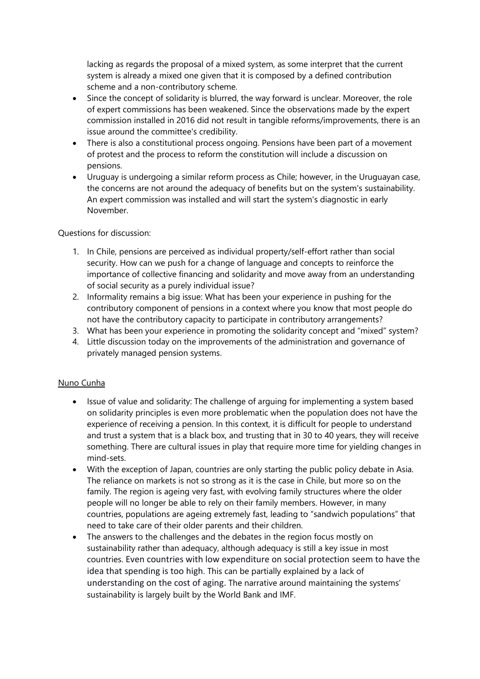lacking as regards the proposal of a mixed system, as some interpret that the current system is already a mixed one given that it is composed by a defined contribution scheme and a non-contributory scheme.

- Since the concept of solidarity is blurred, the way forward is unclear. Moreover, the role of expert commissions has been weakened. Since the observations made by the expert commission installed in 2016 did not result in tangible reforms/improvements, there is an issue around the committee's credibility.
- There is also a constitutional process ongoing. Pensions have been part of a movement of protest and the process to reform the constitution will include a discussion on pensions.
- Uruguay is undergoing a similar reform process as Chile; however, in the Uruguayan case, the concerns are not around the adequacy of benefits but on the system's sustainability. An expert commission was installed and will start the system's diagnostic in early November.

### Questions for discussion:

- 1. In Chile, pensions are perceived as individual property/self-effort rather than social security. How can we push for a change of language and concepts to reinforce the importance of collective financing and solidarity and move away from an understanding of social security as a purely individual issue?
- 2. Informality remains a big issue: What has been your experience in pushing for the contributory component of pensions in a context where you know that most people do not have the contributory capacity to participate in contributory arrangements?
- 3. What has been your experience in promoting the solidarity concept and "mixed" system?
- 4. Little discussion today on the improvements of the administration and governance of privately managed pension systems.

### Nuno Cunha

- Issue of value and solidarity: The challenge of arguing for implementing a system based on solidarity principles is even more problematic when the population does not have the experience of receiving a pension. In this context, it is difficult for people to understand and trust a system that is a black box, and trusting that in 30 to 40 years, they will receive something. There are cultural issues in play that require more time for yielding changes in mind-sets.
- With the exception of Japan, countries are only starting the public policy debate in Asia. The reliance on markets is not so strong as it is the case in Chile, but more so on the family. The region is ageing very fast, with evolving family structures where the older people will no longer be able to rely on their family members. However, in many countries, populations are ageing extremely fast, leading to "sandwich populations" that need to take care of their older parents and their children.
- The answers to the challenges and the debates in the region focus mostly on sustainability rather than adequacy, although adequacy is still a key issue in most countries. Even countries with low expenditure on social protection seem to have the idea that spending is too high. This can be partially explained by a lack of understanding on the cost of aging. The narrative around maintaining the systems' sustainability is largely built by the World Bank and IMF.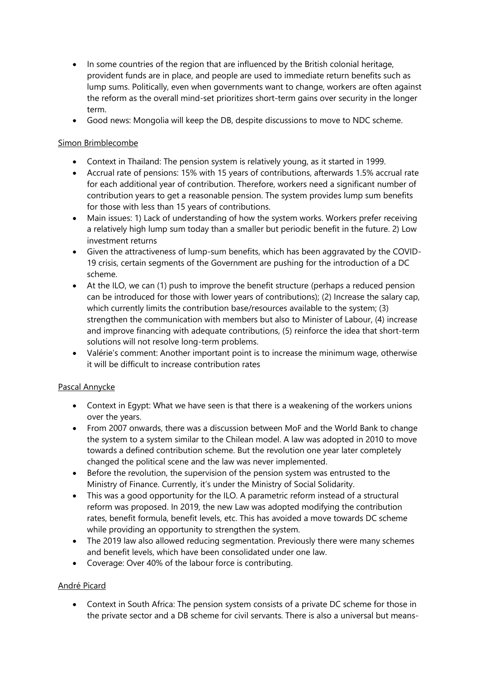- In some countries of the region that are influenced by the British colonial heritage, provident funds are in place, and people are used to immediate return benefits such as lump sums. Politically, even when governments want to change, workers are often against the reform as the overall mind-set prioritizes short-term gains over security in the longer term.
- Good news: Mongolia will keep the DB, despite discussions to move to NDC scheme.

## Simon Brimblecombe

- Context in Thailand: The pension system is relatively young, as it started in 1999.
- Accrual rate of pensions: 15% with 15 years of contributions, afterwards 1.5% accrual rate for each additional year of contribution. Therefore, workers need a significant number of contribution years to get a reasonable pension. The system provides lump sum benefits for those with less than 15 years of contributions.
- Main issues: 1) Lack of understanding of how the system works. Workers prefer receiving a relatively high lump sum today than a smaller but periodic benefit in the future. 2) Low investment returns
- Given the attractiveness of lump-sum benefits, which has been aggravated by the COVID-19 crisis, certain segments of the Government are pushing for the introduction of a DC scheme.
- At the ILO, we can (1) push to improve the benefit structure (perhaps a reduced pension can be introduced for those with lower years of contributions); (2) Increase the salary cap, which currently limits the contribution base/resources available to the system; (3) strengthen the communication with members but also to Minister of Labour, (4) increase and improve financing with adequate contributions, (5) reinforce the idea that short-term solutions will not resolve long-term problems.
- Valérie's comment: Another important point is to increase the minimum wage, otherwise it will be difficult to increase contribution rates

## Pascal Annycke

- Context in Egypt: What we have seen is that there is a weakening of the workers unions over the years.
- From 2007 onwards, there was a discussion between MoF and the World Bank to change the system to a system similar to the Chilean model. A law was adopted in 2010 to move towards a defined contribution scheme. But the revolution one year later completely changed the political scene and the law was never implemented.
- Before the revolution, the supervision of the pension system was entrusted to the Ministry of Finance. Currently, it's under the Ministry of Social Solidarity.
- This was a good opportunity for the ILO. A parametric reform instead of a structural reform was proposed. In 2019, the new Law was adopted modifying the contribution rates, benefit formula, benefit levels, etc. This has avoided a move towards DC scheme while providing an opportunity to strengthen the system.
- The 2019 law also allowed reducing segmentation. Previously there were many schemes and benefit levels, which have been consolidated under one law.
- Coverage: Over 40% of the labour force is contributing.

## André Picard

 Context in South Africa: The pension system consists of a private DC scheme for those in the private sector and a DB scheme for civil servants. There is also a universal but means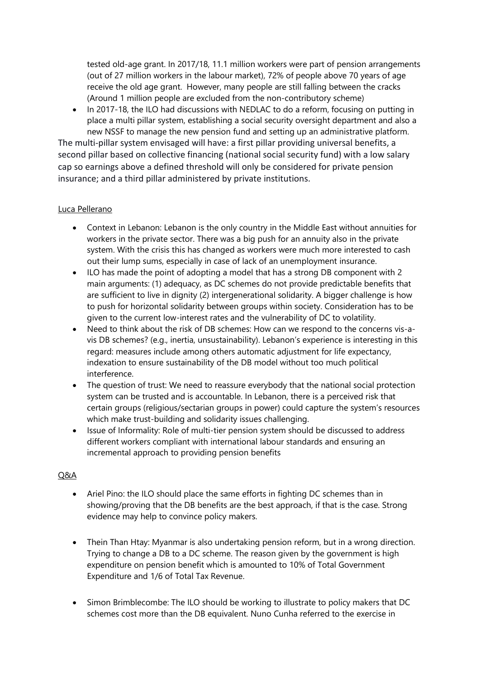tested old-age grant. In 2017/18, 11.1 million workers were part of pension arrangements (out of 27 million workers in the labour market), 72% of people above 70 years of age receive the old age grant. However, many people are still falling between the cracks (Around 1 million people are excluded from the non-contributory scheme)

• In 2017-18, the ILO had discussions with NEDLAC to do a reform, focusing on putting in place a multi pillar system, establishing a social security oversight department and also a new NSSF to manage the new pension fund and setting up an administrative platform.

The multi-pillar system envisaged will have: a first pillar providing universal benefits, a second pillar based on collective financing (national social security fund) with a low salary cap so earnings above a defined threshold will only be considered for private pension insurance; and a third pillar administered by private institutions.

### Luca Pellerano

- Context in Lebanon: Lebanon is the only country in the Middle East without annuities for workers in the private sector. There was a big push for an annuity also in the private system. With the crisis this has changed as workers were much more interested to cash out their lump sums, especially in case of lack of an unemployment insurance.
- ILO has made the point of adopting a model that has a strong DB component with 2 main arguments: (1) adequacy, as DC schemes do not provide predictable benefits that are sufficient to live in dignity (2) intergenerational solidarity. A bigger challenge is how to push for horizontal solidarity between groups within society. Consideration has to be given to the current low-interest rates and the vulnerability of DC to volatility.
- Need to think about the risk of DB schemes: How can we respond to the concerns vis-avis DB schemes? (e.g., inertia, unsustainability). Lebanon's experience is interesting in this regard: measures include among others automatic adjustment for life expectancy, indexation to ensure sustainability of the DB model without too much political interference.
- The question of trust: We need to reassure everybody that the national social protection system can be trusted and is accountable. In Lebanon, there is a perceived risk that certain groups (religious/sectarian groups in power) could capture the system's resources which make trust-building and solidarity issues challenging.
- Issue of Informality: Role of multi-tier pension system should be discussed to address different workers compliant with international labour standards and ensuring an incremental approach to providing pension benefits

## Q&A

- Ariel Pino: the ILO should place the same efforts in fighting DC schemes than in showing/proving that the DB benefits are the best approach, if that is the case. Strong evidence may help to convince policy makers.
- Thein Than Htay: Myanmar is also undertaking pension reform, but in a wrong direction. Trying to change a DB to a DC scheme. The reason given by the government is high expenditure on pension benefit which is amounted to 10% of Total Government Expenditure and 1/6 of Total Tax Revenue.
- Simon Brimblecombe: The ILO should be working to illustrate to policy makers that DC schemes cost more than the DB equivalent. Nuno Cunha referred to the exercise in